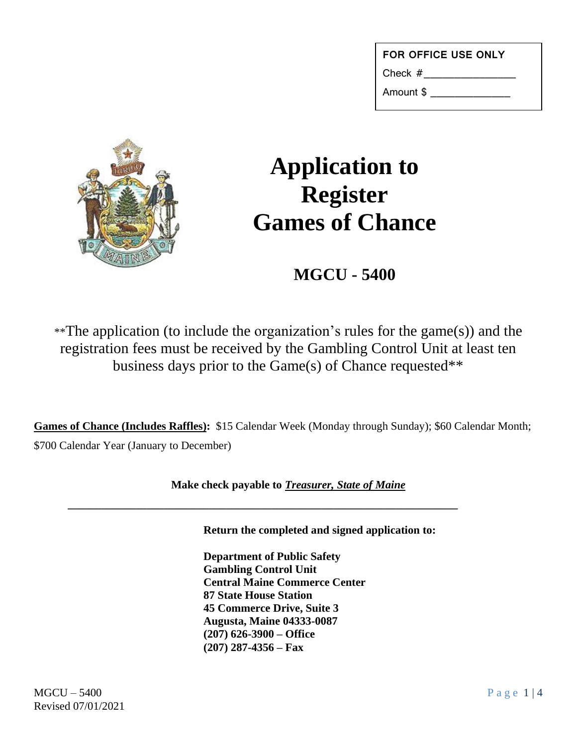| <b>FOR OFFICE USE ONLY</b> |  |
|----------------------------|--|
| Check $#$                  |  |

Amount \$ \_\_\_\_\_\_\_\_\_\_\_\_\_



## **Application to Register Games of Chance**

**MGCU - 5400**

\*\*The application (to include the organization's rules for the game(s)) and the registration fees must be received by the Gambling Control Unit at least ten business days prior to the Game(s) of Chance requested\*\*

**Games of Chance (Includes Raffles):** \$15 Calendar Week (Monday through Sunday); \$60 Calendar Month; \$700 Calendar Year (January to December)

**Make check payable to** *Treasurer, State of Maine*

**\_\_\_\_\_\_\_\_\_\_\_\_\_\_\_\_\_\_\_\_\_\_\_\_\_\_\_\_\_\_\_\_\_\_\_\_\_\_\_\_\_\_\_\_\_\_\_\_\_\_\_\_\_\_\_\_\_\_\_\_\_\_\_\_\_\_\_\_\_**

**Return the completed and signed application to:**

**Department of Public Safety Gambling Control Unit Central Maine Commerce Center 87 State House Station 45 Commerce Drive, Suite 3 Augusta, Maine 04333-0087 (207) 626-3900 – Office (207) 287-4356 – Fax**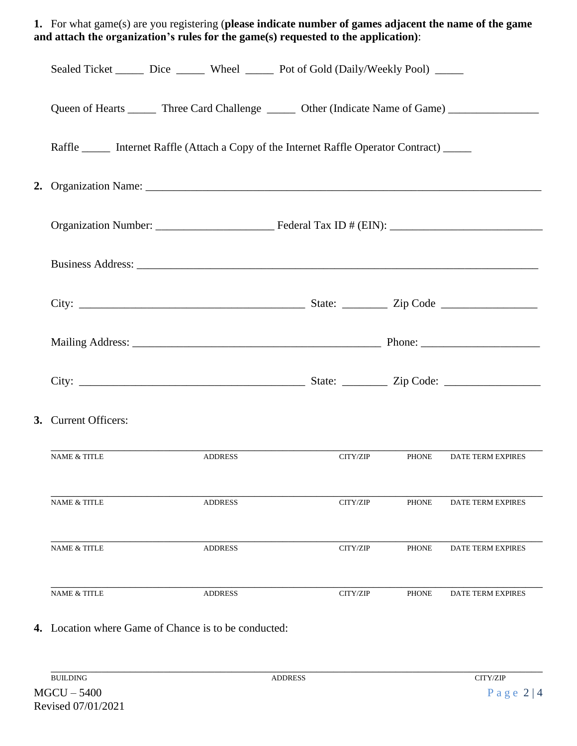|  | 1. For what game(s) are you registering (please indicate number of games adjacent the name of the game<br>and attach the organization's rules for the game(s) requested to the application): |  |                |          |              |                          |  |  |  |
|--|----------------------------------------------------------------------------------------------------------------------------------------------------------------------------------------------|--|----------------|----------|--------------|--------------------------|--|--|--|
|  | Sealed Ticket ______ Dice ______ Wheel _____ Pot of Gold (Daily/Weekly Pool) _____                                                                                                           |  |                |          |              |                          |  |  |  |
|  | Queen of Hearts _______ Three Card Challenge _______ Other (Indicate Name of Game) ________________                                                                                          |  |                |          |              |                          |  |  |  |
|  | Raffle _______ Internet Raffle (Attach a Copy of the Internet Raffle Operator Contract) ______                                                                                               |  |                |          |              |                          |  |  |  |
|  |                                                                                                                                                                                              |  |                |          |              |                          |  |  |  |
|  |                                                                                                                                                                                              |  |                |          |              |                          |  |  |  |
|  |                                                                                                                                                                                              |  |                |          |              |                          |  |  |  |
|  |                                                                                                                                                                                              |  |                |          |              |                          |  |  |  |
|  |                                                                                                                                                                                              |  |                |          |              |                          |  |  |  |
|  |                                                                                                                                                                                              |  |                |          |              |                          |  |  |  |
|  | 3. Current Officers:                                                                                                                                                                         |  |                |          |              |                          |  |  |  |
|  | <b>NAME &amp; TITLE</b>                                                                                                                                                                      |  | <b>ADDRESS</b> | CITY/ZIP | <b>PHONE</b> | <b>DATE TERM EXPIRES</b> |  |  |  |
|  | <b>NAME &amp; TITLE</b>                                                                                                                                                                      |  | <b>ADDRESS</b> | CITY/ZIP | <b>PHONE</b> | <b>DATE TERM EXPIRES</b> |  |  |  |
|  | <b>NAME &amp; TITLE</b>                                                                                                                                                                      |  | <b>ADDRESS</b> | CITY/ZIP | <b>PHONE</b> | <b>DATE TERM EXPIRES</b> |  |  |  |
|  | <b>NAME &amp; TITLE</b>                                                                                                                                                                      |  | <b>ADDRESS</b> | CITY/ZIP | <b>PHONE</b> | DATE TERM EXPIRES        |  |  |  |

## **4.** Location where Game of Chance is to be conducted: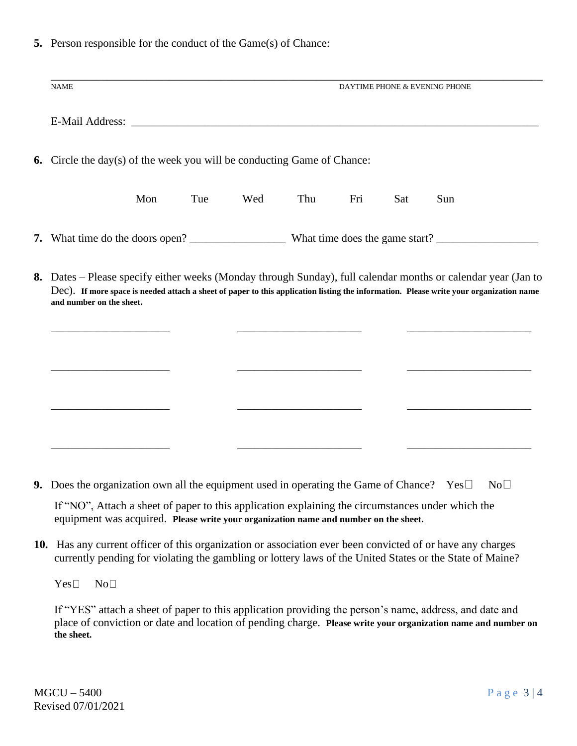**5.** Person responsible for the conduct of the Game(s) of Chance:

|                                                                                                                                                                                                                                                                                                                                                                                                       | <b>NAME</b>                                                                    |     | DAYTIME PHONE & EVENING PHONE |     |     |                                |     |     |  |
|-------------------------------------------------------------------------------------------------------------------------------------------------------------------------------------------------------------------------------------------------------------------------------------------------------------------------------------------------------------------------------------------------------|--------------------------------------------------------------------------------|-----|-------------------------------|-----|-----|--------------------------------|-----|-----|--|
|                                                                                                                                                                                                                                                                                                                                                                                                       |                                                                                |     |                               |     |     |                                |     |     |  |
|                                                                                                                                                                                                                                                                                                                                                                                                       |                                                                                |     |                               |     |     |                                |     |     |  |
|                                                                                                                                                                                                                                                                                                                                                                                                       |                                                                                |     |                               |     |     |                                |     |     |  |
|                                                                                                                                                                                                                                                                                                                                                                                                       | <b>6.</b> Circle the day(s) of the week you will be conducting Game of Chance: |     |                               |     |     |                                |     |     |  |
|                                                                                                                                                                                                                                                                                                                                                                                                       |                                                                                |     |                               |     |     |                                |     |     |  |
|                                                                                                                                                                                                                                                                                                                                                                                                       |                                                                                | Mon | Tue                           | Wed | Thu | Fri                            | Sat | Sun |  |
|                                                                                                                                                                                                                                                                                                                                                                                                       |                                                                                |     |                               |     |     |                                |     |     |  |
| 7. What time do the doors open? $\frac{1}{\sqrt{1-\frac{1}{\sqrt{1-\frac{1}{\sqrt{1-\frac{1}{\sqrt{1-\frac{1}{\sqrt{1-\frac{1}{\sqrt{1-\frac{1}{\sqrt{1-\frac{1}{\sqrt{1-\frac{1}{\sqrt{1-\frac{1}{\sqrt{1-\frac{1}{\sqrt{1-\frac{1}{\sqrt{1-\frac{1}{\sqrt{1-\frac{1}{\sqrt{1-\frac{1}{\sqrt{1-\frac{1}{\sqrt{1-\frac{1}{\sqrt{1-\frac{1}{\sqrt{1-\frac{1}{\sqrt{1-\frac{1}{\sqrt{1-\frac{1}{\sqrt{$ |                                                                                |     |                               |     |     | What time does the game start? |     |     |  |
|                                                                                                                                                                                                                                                                                                                                                                                                       |                                                                                |     |                               |     |     |                                |     |     |  |

**8.** Dates – Please specify either weeks (Monday through Sunday), full calendar months or calendar year (Jan to Dec). **If more space is needed attach a sheet of paper to this application listing the information. Please write your organization name and number on the sheet.**

\_\_\_\_\_\_\_\_\_\_\_\_\_\_\_\_\_\_\_\_\_ \_\_\_\_\_\_\_\_\_\_\_\_\_\_\_\_\_\_\_\_\_\_ \_\_\_\_\_\_\_\_\_\_\_\_\_\_\_\_\_\_\_\_\_\_

\_\_\_\_\_\_\_\_\_\_\_\_\_\_\_\_\_\_\_\_\_ \_\_\_\_\_\_\_\_\_\_\_\_\_\_\_\_\_\_\_\_\_\_ \_\_\_\_\_\_\_\_\_\_\_\_\_\_\_\_\_\_\_\_\_\_

\_\_\_\_\_\_\_\_\_\_\_\_\_\_\_\_\_\_\_\_\_ \_\_\_\_\_\_\_\_\_\_\_\_\_\_\_\_\_\_\_\_\_\_ \_\_\_\_\_\_\_\_\_\_\_\_\_\_\_\_\_\_\_\_\_\_

 $\overline{\phantom{a}}$  , and the contribution of  $\overline{\phantom{a}}$  , and the contribution of  $\overline{\phantom{a}}$  , and  $\overline{\phantom{a}}$  , and  $\overline{\phantom{a}}$  , and  $\overline{\phantom{a}}$  , and  $\overline{\phantom{a}}$  , and  $\overline{\phantom{a}}$  , and  $\overline{\phantom{a}}$  , and  $\overline{\phantom{a}}$  , and

**9.** Does the organization own all the equipment used in operating the Game of Chance? Yes  $\Box$  No  $\Box$ 

If "NO", Attach a sheet of paper to this application explaining the circumstances under which the equipment was acquired. **Please write your organization name and number on the sheet.**

**10.** Has any current officer of this organization or association ever been convicted of or have any charges currently pending for violating the gambling or lottery laws of the United States or the State of Maine?

Yes**□** No**□** 

If "YES" attach a sheet of paper to this application providing the person's name, address, and date and place of conviction or date and location of pending charge. **Please write your organization name and number on the sheet.**